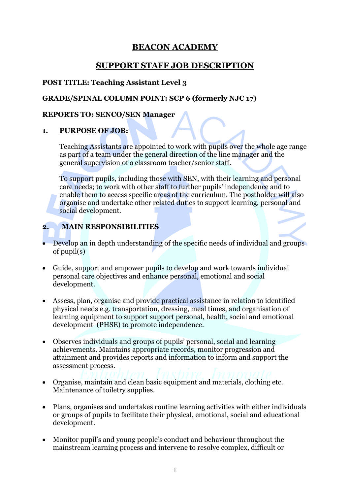# **BEACON ACADEMY**

# **SUPPORT STAFF JOB DESCRIPTION**

## **POST TITLE: Teaching Assistant Level 3**

## **GRADE/SPINAL COLUMN POINT: SCP 6 (formerly NJC 17)**

## **REPORTS TO: SENCO/SEN Manager**

## **1. PURPOSE OF JOB:**

Teaching Assistants are appointed to work with pupils over the whole age range as part of a team under the general direction of the line manager and the general supervision of a classroom teacher/senior staff.

To support pupils, including those with SEN, with their learning and personal care needs; to work with other staff to further pupils' independence and to enable them to access specific areas of the curriculum. The postholder will also organise and undertake other related duties to support learning, personal and social development.

## **2. MAIN RESPONSIBILITIES**

- Develop an in depth understanding of the specific needs of individual and groups of pupil(s)
- Guide, support and empower pupils to develop and work towards individual personal care objectives and enhance personal, emotional and social development.
- Assess, plan, organise and provide practical assistance in relation to identified physical needs e.g. transportation, dressing, meal times, and organisation of learning equipment to support support personal, health, social and emotional development (PHSE) to promote independence.
- Observes individuals and groups of pupils' personal, social and learning achievements. Maintains appropriate records, monitor progression and attainment and provides reports and information to inform and support the assessment process.
- Organise, maintain and clean basic equipment and materials, clothing etc. Maintenance of toiletry supplies.
- Plans, organises and undertakes routine learning activities with either individuals or groups of pupils to facilitate their physical, emotional, social and educational development.
- Monitor pupil's and young people's conduct and behaviour throughout the mainstream learning process and intervene to resolve complex, difficult or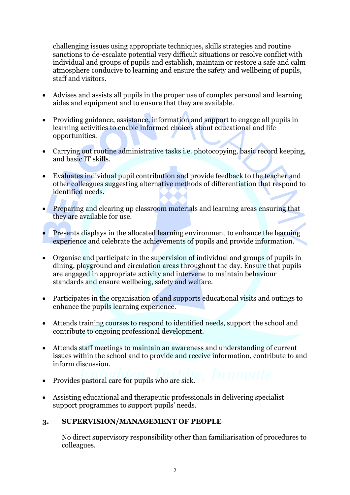challenging issues using appropriate techniques, skills strategies and routine sanctions to de-escalate potential very difficult situations or resolve conflict with individual and groups of pupils and establish, maintain or restore a safe and calm atmosphere conducive to learning and ensure the safety and wellbeing of pupils, staff and visitors.

- Advises and assists all pupils in the proper use of complex personal and learning aides and equipment and to ensure that they are available.
- Providing guidance, assistance, information and support to engage all pupils in learning activities to enable informed choices about educational and life opportunities.
- Carrying out routine administrative tasks i.e. photocopying, basic record keeping, and basic IT skills.
- Evaluates individual pupil contribution and provide feedback to the teacher and other colleagues suggesting alternative methods of differentiation that respond to identified needs.
- Preparing and clearing up classroom materials and learning areas ensuring that they are available for use.
- **Presents displays in the allocated learning environment to enhance the learning** experience and celebrate the achievements of pupils and provide information.
- Organise and participate in the supervision of individual and groups of pupils in dining, playground and circulation areas throughout the day. Ensure that pupils are engaged in appropriate activity and intervene to maintain behaviour standards and ensure wellbeing, safety and welfare.
- Participates in the organisation of and supports educational visits and outings to enhance the pupils learning experience.
- Attends training courses to respond to identified needs, support the school and contribute to ongoing professional development.
- Attends staff meetings to maintain an awareness and understanding of current issues within the school and to provide and receive information, contribute to and inform discussion.
- Provides pastoral care for pupils who are sick.
- Assisting educational and therapeutic professionals in delivering specialist support programmes to support pupils' needs.

## **3. SUPERVISION/MANAGEMENT OF PEOPLE**

No direct supervisory responsibility other than familiarisation of procedures to colleagues.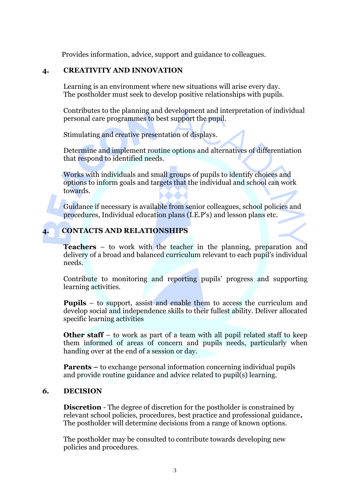Provides information, advice, support and guidance to colleagues.

## **4. CREATIVITY AND INNOVATION**

Learning is an environment where new situations will arise every day. The postholder must seek to develop positive relationships with pupils.

Contributes to the planning and development and interpretation of individual personal care programmes to best support the pupil.

Stimulating and creative presentation of displays.

Determine and implement routine options and alternatives of differentiation that respond to identified needs.

Works with individuals and small groups of pupils to identify choices and options to inform goals and targets that the individual and school can work towards.

Guidance if necessary is available from senior colleagues, school policies and procedures, Individual education plans (I.E.P's) and lesson plans etc.

## **4. CONTACTS AND RELATIONSHIPS**

**Teachers** – to work with the teacher in the planning, preparation and delivery of a broad and balanced curriculum relevant to each pupil's individual needs.

Contribute to monitoring and reporting pupils' progress and supporting learning activities.

**Pupils** – to support, assist and enable them to access the curriculum and develop social and independence skills to their fullest ability. Deliver allocated specific learning activities

**Other staff** – to work as part of a team with all pupil related staff to keep them informed of areas of concern and pupils needs, particularly when handing over at the end of a session or day.

**Parents –** to exchange personal information concerning individual pupils and provide routine guidance and advice related to pupil(s) learning.

#### *6.* **DECISION**

**Discretion** - The degree of discretion for the postholder is constrained by relevant school policies, procedures, best practice and professional guidance**.**  The postholder will determine decisions from a range of known options.

The postholder may be consulted to contribute towards developing new policies and procedures.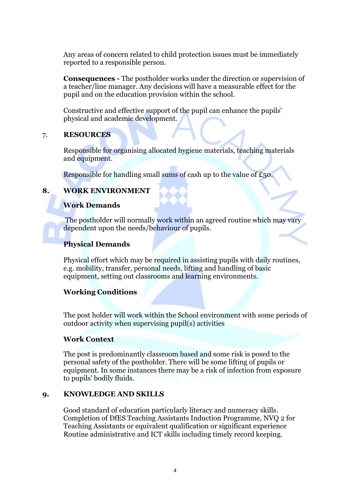Any areas of concern related to child protection issues must be immediately reported to a responsible person.

**Consequences -** The postholder works under the direction or supervision of a teacher/line manager. Any decisions will have a measurable effect for the pupil and on the education provision within the school.

Constructive and effective support of the pupil can enhance the pupils' physical and academic development.

#### 7. **RESOURCES**

Responsible for organising allocated hygiene materials, teaching materials and equipment.

Responsible for handling small sums of cash up to the value of £50.

## **8. WORK ENVIRONMENT**

## **Work Demands**

The postholder will normally work within an agreed routine which may vary dependent upon the needs/behaviour of pupils.

## **Physical Demands**

Physical effort which may be required in assisting pupils with daily routines, e.g. mobility, transfer, personal needs, lifting and handling of basic equipment, setting out classrooms and learning environments.

## **Working Conditions**

The post holder will work within the School environment with some periods of outdoor activity when supervising pupil(s) activities

## **Work Context**

The post is predominantly classroom based and some risk is posed to the personal safety of the postholder. There will be some lifting of pupils or equipment. In some instances there may be a risk of infection from exposure to pupils' bodily fluids.

## **9. KNOWLEDGE AND SKILLS**

Good standard of education particularly literacy and numeracy skills. Completion of DfES Teaching Assistants Induction Programme, NVQ 2 for Teaching Assistants or equivalent qualification or significant experience Routine administrative and ICT skills including timely record keeping.